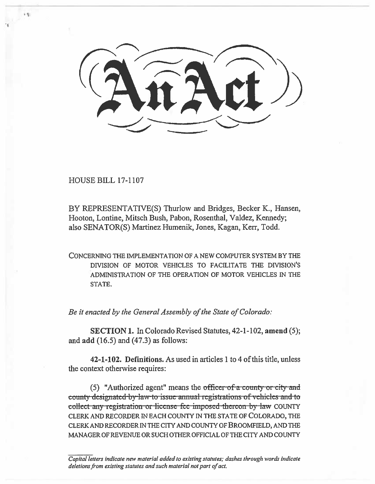HOUSE BILL 17-1107

BY REPRESENTATIVE(S) Thurlow and Bridges, Becker K., Hansen, Hooton, Lontine, Mitsch Bush, Pabon, Rosenthal, Valdez, Kennedy; also SENATOR(S) Martinez Humenik, Jones, Kagan, Kerr, Todd.

CONCERNING THE IMPLEMENTATION OF A NEW COMPUTER SYSTEM BY THE DIVISION OF MOTOR VEHICLES TO FACILITATE THE DIVISION'S ADMINISTRATION OF THE OPERATION OF MOTOR VEHICLES IN THE STATE.

*Be it enacted by the General Assembly of the State of Colorado:* 

SECTION 1. In Colorado Revised Statutes, 42-1-102, amend (5); and add (16.5) and (47.3) as follows:

42-1-102. Definitions. As used in articles 1 to 4 of this title, unless the context otherwise requires:

(5) "Authorized agent" means the officer of a county or city and county designated-by-law-to-issue-annual-registrations of vehicles and to collect any registration or license-fee-imposed-thereon by law COUNTY CLERK AND RECORDER IN EACH COUNTY IN THE STATE OF COLORADO, THE CLERK AND RECORDER IN THE CITY AND COUNTY OF BROOMFIELD, AND THE MANAGER OF REVENUE OR SUCH OTHER OFFICIAL OF THE CITY AND COUNTY

Capital letters indicate new material added to existing statutes; dashes through words indicate deletions from existing statutes and such material not part of act.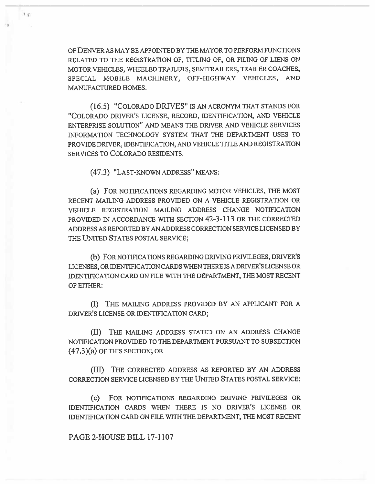OF DENVER AS MAY BE APPOINTED BY THE MAYOR TO PERFORM FUNCTIONS RELATED TO THE REGISTRATION OF, TITLING OF, OR FILING OF LIENS ON MOTOR VEHICLES, WHEELED TRAILERS, SEMITRAILERS, TRAILER COACHES, SPECIAL MOBILE MACHINERY, OFF-HIGHWAY VEHICLES, AND MANUFACTURED HOMES.

(16.5) "COLORADO DRIVES" IS AN ACRONYM THAT STANDS FOR "COLORADO DRIVER'S LICENSE, RECORD, IDENTIFICATION, AND VEHICLE ENTERPRISE SOLUTION" AND MEANS THE DRIVER AND VEHICLE SERVICES INFORMATION TECHNOLOGY SYSTEM THAT THE DEPARTMENT USES TO PROVIDE DRIVER, IDENTIFICATION, AND VEHICLE TITLE AND REGISTRATION SERVICES TO COLORADO RESIDENTS.

(47.3) "LAST-KNOWN ADDRESS" MEANS:

1.61

(a) FOR NOTIFICATIONS REGARDING MOTOR VEHICLES, THE MOST RECENT MAILING ADDRESS PROVIDED ON A VEHICLE REGISTRATION OR VEHICLE REGISTRATION MAILING ADDRESS CHANGE NOTIFICATION PROVIDED IN ACCORDANCE WITH SECTION 42-3-113 OR THE CORRECTED ADDRESS AS REPORTED BY AN ADDRESS CORRECTION SERVICE LICENSED BY THE UNITED STATES POSTAL SERVICE;

**(b)** FOR NOTIFICATIONS REGARDING DRIVING PRIVILEGES, DRIVER'S LICENSES, OR IDENTIFICATION CARDS WHEN THERE IS A DRIVER'S LICENSE OR IDENTIFICATION CARD ON FILE WITH THE DEPARTMENT, THE MOST RECENT OF EITHER:

(I) THE MAILING ADDRESS PROVIDED BY AN APPLICANT FOR A DRIVER'S LICENSE OR IDENTIFICATION CARD;

(II) THE MAILING ADDRESS STATED ON AN ADDRESS CHANGE NOTIFICATION PROVIDED TO THE DEPARTMENT PURSUANT TO SUBSECTION (47.3)(a) OF THIS SECTION; OR

(III) THE CORRECTED ADDRESS AS REPORTED BY AN ADDRESS CORRECTION SERVICE LICENSED BY THE UNITED STATES POSTAL SERVICE;

(c) FOR NOTIFICATIONS REGARDING DRIVING PRIVILEGES OR IDENTIFICATION CARDS WHEN THERE IS NO DRIVER'S LICENSE OR IDENTIFICATION CARD ON FILE WITH THE DEPARTMENT, THE MOST RECENT

## PAGE 2-HOUSE BILL 17-1107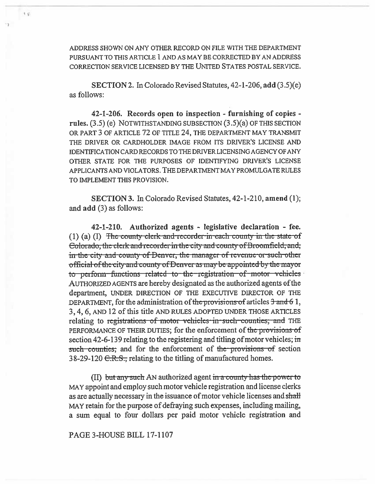ADDRESS SHOWN ON ANY OTHER RECORD ON FILE WITH THE DEPARTMENT PURSUANT TO THIS ARTICLE 1 AND AS MAY BE CORRECTED BY AN ADDRESS CORRECTION SERVICE LICENSED BY THE UNITED STATES POSTAL SERVICE.

 $1 - 1$ 

**SECTION 2.** In Colorado Revised Statutes,  $42-1-206$ , add  $(3.5)(e)$ as follows:

42-1-206. Records open to inspection - furnishing of copies rules.  $(3.5)$  (e) NOTWITHSTANDING SUBSECTION  $(3.5)(a)$  OF THIS SECTION OR PART 3 OF ARTICLE 72 OF TITLE 24, THE DEPARTMENT MAY TRANSMIT THE DRIVER OR CARDHOLDER IMAGE FROM ITS DRIVER'S LICENSE AND IDENTIFICATION CARD RECORDS TO THE DRIVER LICENSING AGENCY OF ANY OTHER STATE FOR THE PURPOSES OF IDENTIFYING DRIVER'S LICENSE APPLICANTS AND VIOLATORS. THE DEPARTMENT MAY PROMULGATE RULES TO IMPLEMENT THIS PROVISION.

**SECTION 3.** In Colorado Revised Statutes, 42-1-210, amend (1); and add (3) as follows:

42-1-210. Authorized agents - legislative declaration - fee. (1) (a) (I) The county clerk and recorder in each county in the state of Colorado, the clerk and recorder in the city and county of Broomfield, and, in the city and county of Denver, the manager of revenue or such other official of the city and county of Denver as may be appointed by the mayor to perform functions related to the registration of motor vehicles AUTHORIZED AGENTS are hereby designated as the authorized agents of the department, UNDER DIRECTION OF THE EXECUTIVE DIRECTOR OF THE DEPARTMENT, for the administration of the provisions of articles 3 and 61, 3, 4, 6, AND 12 of this title AND RULES ADOPTED UNDER THOSE ARTICLES relating to registrations of motor vehicles in such counties; and THE PERFORMANCE OF THEIR DUTIES; for the enforcement of the provisions of section 42-6-139 relating to the registering and titling of motor vehicles; in such counties; and for the enforcement of the provisions of section 38-29-120 <del>C.R.S.,</del> relating to the titling of manufactured homes.

(II) but any such AN authorized agent in a county has the power to MAY appoint and employ such motor vehicle registration and license clerks as are actually necessary in the issuance of motor vehicle licenses and shall MAY retain for the purpose of defraying such expenses, including mailing, a sum equal to four dollars per paid motor vehicle registration and

# PAGE 3-HOUSE BILL 17-1107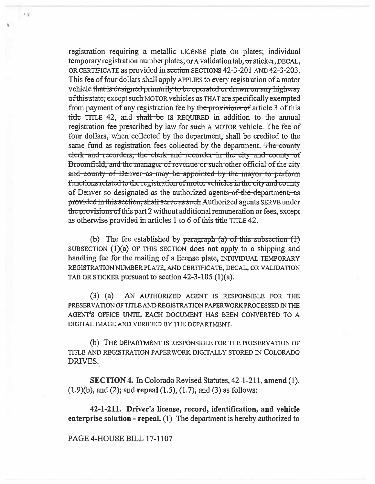registration requiring a metallic LICENSE plate OR plates; individual temporary registration number plates; or A validation tab, or sticker, DECAL, OR CERTIFICATE as provided in section SECTIONS 42-3-201 AND 42-3-203. This fee of four dollars shall apply APPLIES to every registration of a motor vehicle that is designed primarily to be operated or drawn-on-any highway of this state, except such MOTOR vehicles as THAT are specifically exempted from payment of any registration fee by the provisions of article 3 of this title TITLE 42, and shall be IS REQUIRED in addition to the annual registration fee prescribed by law for such A MOTOR vehicle. The fee of four dollars, when collected by the department, shall be credited to the same fund as registration fees collected by the department. The county clerk and recorders, the clerk and recorder in the city and county of Broomfield, and the manager of revenue or such other official of the city and county of Denver as may be appointed by the mayor to perform functions related to the registration of motor vehicles in the city and county of Denver so designated as the authorized agents of the department, as provided in this section, shall serve as such Authorized agents SERVE under the provisions of this part 2 without additional remuneration or fees, except as otherwise provided in articles 1 to 6 of this title TITLE 42.

(b) The fee established by paragraph  $(a)$  of this subsection  $(1)$ SUBSECTION (1)(a) OF THIS SECTION does not apply to a shipping and handling fee for the mailing of a license plate, INDIVIDUAL TEMPORARY REGISTRATION NUMBER PLATE, AND CERTIFICATE, DECAL, OR VALIDATION TAB OR STICKER pursuant to section  $42-3-105$  (1)(a).

 $(3)$   $(a)$ AN AUTHORIZED AGENT IS RESPONSIBLE FOR THE PRESERVATION OF TITLE AND REGISTRATION PAPER WORK PROCESSED IN THE AGENT'S OFFICE UNTIL EACH DOCUMENT HAS BEEN CONVERTED TO A DIGITAL IMAGE AND VERIFIED BY THE DEPARTMENT.

(b) THE DEPARTMENT IS RESPONSIBLE FOR THE PRESERVATION OF TITLE AND REGISTRATION PAPERWORK DIGITALLY STORED IN COLORADO DRIVES.

**SECTION 4.** In Colorado Revised Statutes, 42-1-211, amend (1),  $(1.9)(b)$ , and  $(2)$ ; and repeal  $(1.5)$ ,  $(1.7)$ , and  $(3)$  as follows:

42-1-211. Driver's license, record, identification, and vehicle enterprise solution - repeal.  $(1)$  The department is hereby authorized to

PAGE 4-HOUSE BILL 17-1107

 $\leq 5^{\circ}$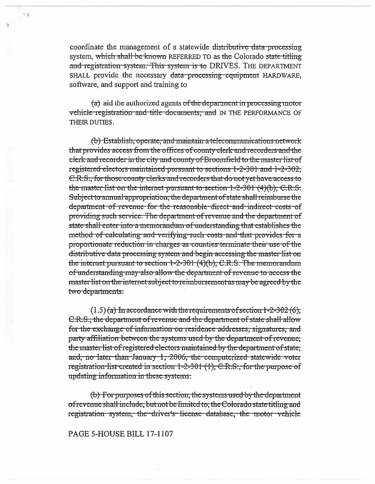coordinate the management of a statewide distributive data processing system, which shall be known REFERRED TO as the Colorado state titling and registration system. This system is to DRIVES. THE DEPARTMENT SHALL provide the necessary data processing equipment HARDWARE, software, and support and training to

 $1 + 1$ 

 $(a)$  aid the authorized agents of the department in processing motor vehicle registration and title documents; and IN THE PERFORMANCE OF THEIR DUTIES.

(b) Establish, operate, and maintain a telecommunications network that provides access from the offices of county clerk and recorders and the elerk and recorder in the city and county of Broomfield to the master list of registered electors maintained pursuant to sections 1-2-301 and 1-2-302, C.R.S., for those county clerks and recorders that do not yet have access to the master list on the internet pursuant to section  $1-2-301$  (4)(b), C.R.S. Subject to annual appropriation, the department of state shall reimburse the department of revenue for the reasonable-direct and indirect costs of providing such service. The department of revenue and the department of state shall enter into a memorandum of understanding that establishes the method of calculating and verifying such costs and that provides for a proportionate reduction in charges as counties terminate their use of the distributive data processing system and begin accessing the master list on the internet pursuant to section 1-2-301 (4)(b), C.R.S. The memorandum of understanding may also allow the department of revenue to access the master list on the internet subject to reimbursement as may be agreed by the two departments.

 $(1.5)$  (a) In accordance with the requirements of section 1-2-302 (6); C.R.S., the department of revenue and the department of state shall allow for the exchange of information on residence addresses, signatures, and party affiliation between the systems used by the department of revenue, the master list of registered electors maintained by the department of state; and, no later than January 1, 2006, the computerized statewide voter registration-list-created in section 1-2-301 (1), C.R.S., for the purpose of updating information in these systems.

(b) For purposes of this section, the systems used by the department of revenue shall include, but not be limited to, the Colorado state titling and registration system, the driver's license database, the motor vehicle

## PAGE 5-HOUSE BILL 17-1107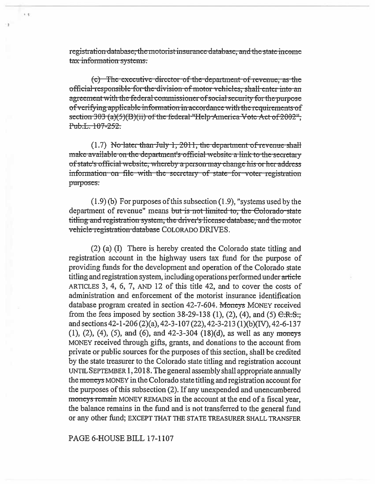registration database, the motorist insurance database, and the state income tax information systems.

 $x = \frac{1}{2}$ 

(c) The executive director of the department of revenue, as the official responsible for the division of motor vehicles. shall enter into an agreement with the federal commissioner of social security for the purpose of verifying applicable information in accordance with the requirements of section 303 (a)(5)(B)(ii) of the federal "Help-America Vote Act of 2002"; Pub.L. 107-252.

 $(1.7)$  No-later than July 1, 2011, the department of revenue shall make available on the department's official website a link to the secretary of state's official website, whereby a person may change his or her address information on file with the secretary of state for voter registration purposes.

 $(1.9)$  (b) For purposes of this subsection  $(1.9)$ , "systems used by the department of revenue" means but is not limited to, the Colorado-state titling and registration system, the driver's license database, and the motor vehicle registration database COLORADO DRIVES.

(2) (a) (I) There is hereby created the Colorado state titling and registration account in the highway users tax fund for the purpose of providing funds for the development and operation of the Colorado state titling and registration system, including operations performed under article ARTICLES 3, 4, 6, 7, AND 12 of this title 42, and to cover the costs of administration and enforcement of the motorist insurance identification database program created in section 42-7-604. Moneys MONEY received from the fees imposed by section 38-29-138 (1), (2), (4), and (5)  $C.R.S.$ and sections 42-1-206 (2)(a), 42-3-107 (22), 42-3-213 (1)(b)(IV), 42-6-137  $(1), (2), (4), (5),$  and  $(6),$  and  $42-3-304$   $(18)(d),$  as well as any moneys MONEY received through gifts, grants, and donations to the account from private or public sources for the purposes of this section, shall be credited by the state treasurer to the Colorado state titling and registration account UNTIL SEPTEMBER 1, 2018. The general assembly shall appropriate annually the moneys MONEY in the Colorado state titling and registration account for the purposes of this subsection (2). If any unexpended and unencumbered moneys remain MONEY REMAINS in the account at the end of a fiscal year, the balance remains in the fund and is not transferred to the general fund or any other fund; EXCEPT THAT THE STATE TREASURER SHALL TRANSFER

PAGE 6-HOUSE BILL 17-1107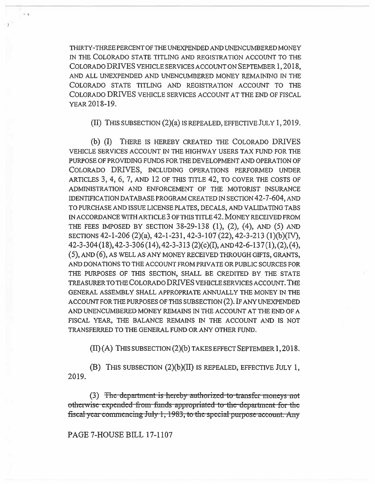THIRTY-THREE PERCENT OF THE UNEXPENDED AND UNENCUMBERED MONEY IN THE COLORADO STATE TITLING AND REGISTRATION ACCOUNT TO THE COLORADO DRIVES VEHICLE SERVICES ACCOUNT ON SEPTEMBER 1, 2018, AND ALL UNEXPENDED AND UNENCUMBERED MONEY REMAINING IN THE COLORADO STATE TITLING AND REGISTRATION ACCOUNT TO THE COLORADO DRIVES VEHICLE SERVICES ACCOUNT AT THE END OF FISCAL YEAR 2018-19.

(II) THIS SUBSECTION (2)(a) IS REPEALED, EFFECTIVE JULY 1, 2019.

**(b) (I)** THERE IS HEREBY CREATED THE COLORADO DRIVES VEHICLE SERVICES ACCOUNT IN THE HIGHWAY USERS TAX FUND FOR THE PURPOSE OF PROVIDING FUNDS FOR THE DEVELOPMENT AND OPERATION OF COLORADO DRIVES, INCLUDING OPERATIONS PERFORMED UNDER ARTICLES 3, 4, 6, 7, AND 12 OF THIS TITLE 42, TO COVER THE COSTS OF ADMINISTRATION AND ENFORCEMENT OF THE MOTORIST INSURANCE IDENTIFICATION DATABASE PROGRAM CREATED IN SECTION 42-7-604, AND TO PURCHASE AND ISSUE LICENSE PLATES, DECALS, AND VALIDATING TABS IN ACCORDANCE WITH ARTICLE 3 OF THIS TITLE 42. MONEY RECEIVED FROM THE FEES IMPOSED BY SECTION 38-29-138 (1), (2), (4), AND (5) AND SECTIONS 42-1-206 (2)(a), 42-1-231, 42-3-107 (22), 42-3-213 (1)(b)(IV), 42-3-304 (18), 42-3-306 (14), 42-3-313 (2)(c)(I), AND 42-6-137 (1), (2), (4), (5), AND (6), AS WELL AS ANY MONEY RECEIVED THROUGH GIFTS, GRANTS, AND DONATIONS TO THE ACCOUNT FROM PRIVATE OR PUBLIC SOURCES FOR THE PURPOSES OF THIS SECTION, SHALL BE CREDITED BY THE STATE TREASURER TO THE COLORADO DRIVES VEHICLE SERVICES ACCOUNT. THE GENERAL ASSEMBLY SHALL APPROPRIATE ANNUALLY THE MONEY IN THE ACCOUNT FOR THE PURPOSES OF THIS SUBSECTION (2). IF ANY UNEXPENDED AND UNENCUMBERED MONEY REMAINS IN THE ACCOUNT AT THE END OF A FISCAL YEAR, THE BALANCE REMAINS IN THE ACCOUNT AND IS NOT TRANSFERRED TO THE GENERAL FUND OR ANY OTHER FUND.

(II) (A) THIS SUBSECTION (2)(b) TAKES EFFECT SEPTEMBER 1, 2018.

**(B)** THIS SUBSECTION (2)(b)(II) IS REPEALED, EFFECTIVE JULY 1, 2019.

(3) The department is hereby authorized to transfer moneys not otherwise expended from funds appropriated to the department for the fiscal year commencing July 1, 1983, to the special purpose account. Any

## PAGE 7-HOUSE BILL 17-1107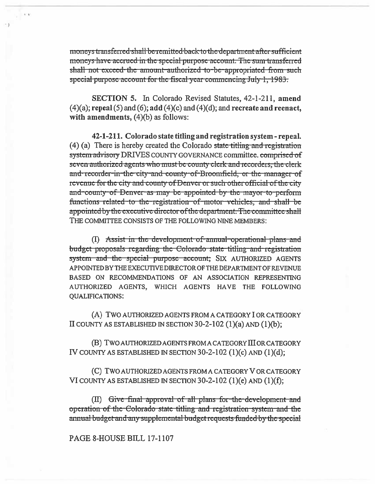moneys transferred shall be remitted back to the department after sufficient moneys have accrued in the special purpose account. The sum-transferred shall not exceed the amount authorized to be appropriated from such special purpose account for the fiscal year commencing July 1, 1983.

SECTION 5. In Colorado Revised Statutes, 42-1-211, amend  $(4)(a)$ ; repeal (5) and (6); add (4)(c) and (4)(d); and recreate and reenact, with amendments,  $(4)(b)$  as follows:

42-1-211. Colorado state titling and registration system - repeal.  $(4)$  (a) There is hereby created the Colorado state titling and registration system advisory DRIVES COUNTY GOVERNANCE committee. comprised of seven authorized agents who must be county clerk and recorders, the clerk and recorder in the city and county of Broomfield, or the manager of revenue for the city and county of Denver or such other official of the city and county of Denver as may be appointed by the mayor to perform functions related to the registration of motor vehicles, and shall be appointed by the executive director of the department. The committee shall THE COMMITTEE CONSISTS OF THE FOLLOWING NINE MEMBERS:

(I) Assist in the development of annual operational plans and budget proposals regarding the Colorado state titling and registration system and the special purpose account; SIX AUTHORIZED AGENTS APPOINTED BY THE EXECUTIVE DIRECTOR OF THE DEPARTMENT OF REVENUE BASED ON RECOMMENDATIONS OF AN ASSOCIATION REPRESENTING AUTHORIZED AGENTS, WHICH AGENTS HAVE THE FOLLOWING **QUALIFICATIONS:** 

(A) TWO AUTHORIZED AGENTS FROM A CATEGORY I OR CATEGORY II COUNTY AS ESTABLISHED IN SECTION 30-2-102  $(1)(a)$  AND  $(1)(b)$ ;

(B) TWO AUTHORIZED AGENTS FROM A CATEGORY III OR CATEGORY IV COUNTY AS ESTABLISHED IN SECTION  $30-2-102$  (1)(c) AND (1)(d);

(C) TWO AUTHORIZED AGENTS FROM A CATEGORY V OR CATEGORY VI COUNTY AS ESTABLISHED IN SECTION  $30-2-102$  (1)(e) AND (1)(f);

(II) Give final approval of all plans for the development and operation of the Colorado state titling and registration system and the annual budget and any supplemental budget requests funded by the special

## PAGE 8-HOUSE BILL 17-1107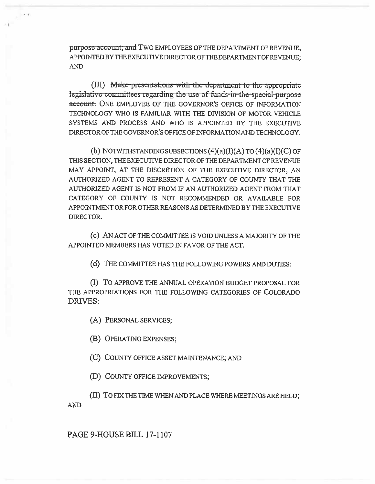purpose account; and TWO EMPLOYEES OF THE DEPARTMENT OF REVENUE, APPOINTED BY THE EXECUTIVE DIRECTOR OF THE DEPARTMENT OF REVENUE; **AND** 

(III) Make presentations with the department to the appropriate legislative committees regarding the use of funds-in-the special purpose account. ONE EMPLOYEE OF THE GOVERNOR'S OFFICE OF INFORMATION TECHNOLOGY WHO IS FAMILIAR WITH THE DIVISION OF MOTOR VEHICLE SYSTEMS AND PROCESS AND WHO IS APPOINTED BY THE EXECUTIVE DIRECTOR OF THE GOVERNOR'S OFFICE OF INFORMATION AND TECHNOLOGY.

(b) NOTWITHSTANDING SUBSECTIONS  $(4)(a)(I)(A)$  TO  $(4)(a)(I)(C)$  OF THIS SECTION, THE EXECUTIVE DIRECTOR OF THE DEPARTMENT OF REVENUE MAY APPOINT, AT THE DISCRETION OF THE EXECUTIVE DIRECTOR, AN AUTHORIZED AGENT TO REPRESENT A CATEGORY OF COUNTY THAT THE AUTHORIZED AGENT IS NOT FROM IF AN AUTHORIZED AGENT FROM THAT CATEGORY OF COUNTY IS NOT RECOMMENDED OR AVAILABLE FOR APPOINTMENT OR FOR OTHER REASONS AS DETERMINED BY THE EXECUTIVE DIRECTOR.

(c) AN ACT OF THE COMMITTEE IS VOID UNLESS A MAJORITY OF THE APPOINTED MEMBERS HAS VOTED IN FAVOR OF THE ACT.

(d) THE COMMITTEE HAS THE FOLLOWING POWERS AND DUTIES:

(I) TO APPROVE THE ANNUAL OPERATION BUDGET PROPOSAL FOR THE APPROPRIATIONS FOR THE FOLLOWING CATEGORIES OF COLORADO **DRIVES:** 

(A) PERSONAL SERVICES;

(B) OPERATING EXPENSES;

(C) COUNTY OFFICE ASSET MAINTENANCE; AND

(D) COUNTY OFFICE IMPROVEMENTS;

(II) TO FIX THE TIME WHEN AND PLACE WHERE MEETINGS ARE HELD;

**AND** 

# PAGE 9-HOUSE BILL 17-1107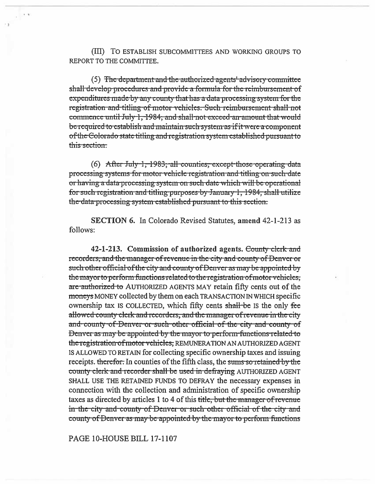(III) TO ESTABLISH SUBCOMMITTEES AND WORKING GROUPS TO REPORT TO THE COMMITTEE.

(5) The department and the authorized agents' advisory committee shall develop procedures and provide a formula for the reimbursement of expenditures made by any county that has a data processing system for the registration and titling of motor vehicles. Such reimbursement shall not commence until July 1, 1984, and shall not exceed an amount that would be required to establish and maintain such system as if it were a component of the Colorado state titling and registration system established pursuant to this section:

 $(6)$  After July 1, 1983, all counties, except those operating data processing systems for motor vehicle registration and titling on such date or having a data processing system on such date which will be operational for such registration and titling purposes by January 1, 1984, shall utilize the data processing system established pursuant to this section.

**SECTION 6.** In Colorado Revised Statutes, amend 42-1-213 as follows:

42-1-213. Commission of authorized agents. County clerk and recorders, and the manager of revenue in the city and county of Denver or such other official of the city and county of Denver as may be appointed by the mayor to perform functions related to the registration of motor vehicles, are authorized to AUTHORIZED AGENTS MAY retain fifty cents out of the moneys MONEY collected by them on each TRANSACTION IN WHICH specific ownership tax is COLLECTED, which fifty cents shall be is the only fee allowed county clerk and recorders, and the manager of revenue in the city and county of Denver or such other official of the city and county of Denver as may be appointed by the mayor to perform functions related to the registration of motor vehicles; REMUNERATION AN AUTHORIZED AGENT IS ALLOWED TO RETAIN for collecting specific ownership taxes and issuing receipts. therefor. In counties of the fifth class, the sums so retained by the county clerk and recorder shall be used in defraying AUTHORIZED AGENT SHALL USE THE RETAINED FUNDS TO DEFRAY the necessary expenses in connection with the collection and administration of specific ownership taxes as directed by articles 1 to 4 of this title, but the manager of revenue in the city and county of Denver or such other official of the city and county of Denver as may be appointed by the mayor to perform functions

PAGE 10-HOUSE BILL 17-1107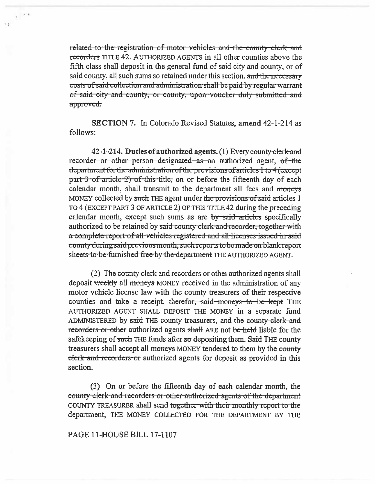related to the registration of motor vehicles and the county clerk and recorders TITLE 42. AUTHORIZED AGENTS in all other counties above the fifth class shall deposit in the general fund of said city and county, or of said county, all such sums so retained under this section, and the necessary costs of said collection and administration shall be paid by regular warrant of said city and county, or county, upon voucher duly submitted and approved.

**SECTION 7.** In Colorado Revised Statutes, amend 42-1-214 as follows:

42-1-214. Duties of authorized agents. (1) Every county clerk and recorder or other person designated as an authorized agent, of the department for the administration of the provisions of articles 1 to 4 (except part 3 of article 2) of this title, on or before the fifteenth day of each calendar month, shall transmit to the department all fees and moneys MONEY collected by such THE agent under the provisions of said articles 1 TO 4 (EXCEPT PART 3 OF ARTICLE 2) OF THIS TITLE 42 during the preceding calendar month, except such sums as are by said articles specifically authorized to be retained by said county clerk and recorder, together with a complete report of all vehicles registered and all licenses issued in said county during said previous month, such reports to be made on blank report sheets to be furnished free by the department THE AUTHORIZED AGENT.

(2) The county clerk and recorders or other authorized agents shall deposit weekly all moneys MONEY received in the administration of any motor vehicle license law with the county treasurers of their respective counties and take a receipt. therefor, said moneys to be kept THE AUTHORIZED AGENT SHALL DEPOSIT THE MONEY in a separate fund ADMINISTERED by said THE county treasurers, and the county clerk and recorders or other authorized agents shall ARE not be held liable for the safekeeping of such THE funds after so depositing them. Said THE county treasurers shall accept all moneys MONEY tendered to them by the county elerk and recorders or authorized agents for deposit as provided in this section.

(3) On or before the fifteenth day of each calendar month, the county clerk and recorders or other authorized agents of the department COUNTY TREASURER shall send together with their monthly report to the department, THE MONEY COLLECTED FOR THE DEPARTMENT BY THE

PAGE 11-HOUSE BILL 17-1107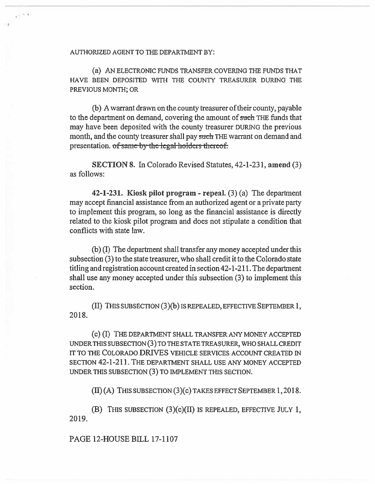AUTHORIZED AGENT TO THE DEPARTMENT BY:

(a) AN ELECTRONIC FUNDS TRANSFER COVERING THE FUNDS THAT HAVE BEEN DEPOSITED WITH THE COUNTY TREASURER DURING THE PREVIOUS MONTH; OR

(b) A warrant drawn on the county treasurer of their county, payable to the department on demand, covering the amount of such THE funds that may have been deposited with the county treasurer DURING the previous month, **and the** county treasurer shall pay such THE warrant on demand and presentation. of same by the legal holders thereof.

**SECTION 8. In** Colorado Revised Statutes, 42-1-231, **amend** (3) as follows:

**42-1-231. Kiosk pilot program - repeal.** (3) (a) The department may accept financial assistance from an authorized agent or a private party to implement this program, so long as the financial assistance is directly related to the kiosk pilot program and does not stipulate a condition that conflicts with state law.

(b) **(I)** The department shall transfer any money accepted under this subsection (3) to the state treasurer, who shall credit it to the Colorado state titling and registration account created in section 42-1-211. The department shall use any money accepted under this subsection (3) to implement this section.

(II) THIS SUBSECTION (3)(b) IS REPEALED, EFFECTIVE SEPTEMBER 1, 2018.

(c) (1) THE DEPARTMENT SHALL TRANSFER ANY MONEY ACCEPTED UNDER THIS SUBSECTION (3) TO THE STATE TREASURER, WHO SHALL CREDIT IT TO THE COLORADO DRIVES VEHICLE SERVICES ACCOUNT CREATED IN SECTION 42-1-211. THE DEPARTMENT SHALL USE ANY MONEY ACCEPTED UNDER THIS SUBSECTION (3) TO IMPLEMENT THIS SECTION.

**(H)** (A) THIS SUBSECTION (3)(c) TAKES EFFECT SEPTEMBER 1, 2018.

(B) THIS SUBSECTION (3)(c)(II) IS REPEALED, EFFECTIVE JULY **1,**  2019.

PAGE 12-HOUSE BILL 17-1107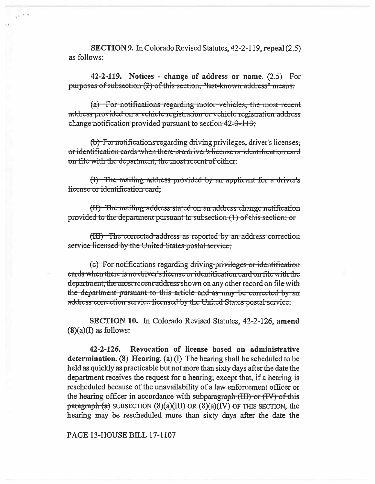SECTION 9. In Colorado Revised Statutes, 42-2-119, repeal (2.5) as follows:

 $1^{2}$   $1^{2}$ 

42-2-119. Notices - change of address or name.  $(2.5)$  For purposes of subsection (2) of this section; "last-known address" means:

 $(a)$  For notifications regarding motor-vehicles, the most recent address provided on a vehicle registration or vehicle registration address change notification provided pursuant to section 42-3-113;

(b) For notifications regarding driving privileges, driver's licenses, or identification cards when there is a driver's license or identification card on file with the department, the most recent of either.

(I) The mailing address provided by an applicant for a driver's license or identification card;

(II) The mailing-address-stated on an address change notification provided to the department pursuant to subsection (1) of this section; or

(III) The corrected address as reported by an address correction service licensed by the United-States postal service;

(c) For notifications regarding driving privileges or identification eards when there is no driver's license or identification card on file with the department, the most recent address shown on any other record on file with the department pursuant to this article and as may be corrected by an address correction service licensed by the United States postal service.

**SECTION 10.** In Colorado Revised Statutes, 42-2-126, amend  $(8)(a)(I)$  as follows:

 $42 - 2 - 126.$ Revocation of license based on administrative determination. (8) Hearing. (a)  $(I)$  The hearing shall be scheduled to be held as quickly as practicable but not more than sixty days after the date the department receives the request for a hearing; except that, if a hearing is rescheduled because of the unavailability of a law enforcement officer or the hearing officer in accordance with subparagraph (HI) or (IV) of this  $\frac{\text{pargraph}}{\text{(a)}}$  SUBSECTION (8)(a)(III) OR (8)(a)(IV) OF THIS SECTION, the hearing may be rescheduled more than sixty days after the date the

PAGE 13-HOUSE BILL 17-1107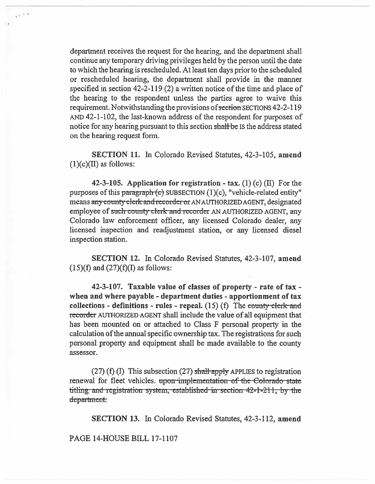department receives the request for the hearing, and the department shall continue any temporary driving privileges held by the person until the date to which the hearing is rescheduled. At least ten days prior to the scheduled or rescheduled hearing, the department shall provide in the manner specified in section 42-2-119 (2) a written notice of the time and place of the hearing to the respondent unless the parties agree to waive this requirement. Notwithstanding the provisions of section SECTIONS 42-2-119 AND 42-1-102, the last-known address of the respondent for purposes of notice for any hearing pursuant to this section shall be is the address stated on the hearing request form.

 $\frac{1}{2}$ 

SECTION 11. In Colorado Revised Statutes, 42-3-105, amend  $(1)(c)(II)$  as follows:

42-3-105. Application for registration - tax.  $(1)$  (c)  $(II)$  For the purposes of this paragraph  $(c)$  SUBSECTION  $(1)(c)$ , "vehicle-related entity" means any county clerk and recorder or AN AUTHORIZED AGENT, designated employee of such county clerk and recorder AN AUTHORIZED AGENT, any Colorado law enforcement officer, any licensed Colorado dealer, any licensed inspection and readjustment station, or any licensed diesel inspection station.

SECTION 12. In Colorado Revised Statutes, 42-3-107, amend  $(15)(f)$  and  $(27)(f)(I)$  as follows:

42-3-107. Taxable value of classes of property - rate of tax when and where payable - department duties - apportionment of tax collections - definitions - rules - repeal.  $(15)$  (f) The county-clerk-and recorder AUTHORIZED AGENT shall include the value of all equipment that has been mounted on or attached to Class F personal property in the calculation of the annual specific ownership tax. The registrations for such personal property and equipment shall be made available to the county assessor.

 $(27)$  (f) (I) This subsection (27) shall-apply APPLIES to registration renewal for fleet vehicles. upon implementation of the Colorado state titling and registration system, established in section 42-1-211, by the department.

SECTION 13. In Colorado Revised Statutes, 42-3-112, amend

PAGE 14-HOUSE BILL 17-1107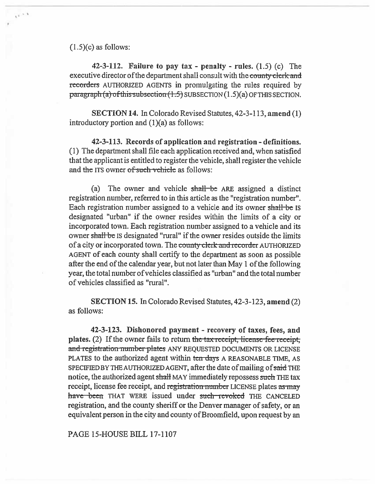$(1.5)(c)$  as follows:

 $t^{\frac{1}{2}-1}$ 

42-3-112. Failure to pay tax - penalty - rules.  $(1.5)$  (c) The executive director of the department shall consult with the county clerk and recorders AUTHORIZED AGENTS in promulgating the rules required by paragraph (a) of this subsection (1.5) SUBSECTION (1.5)(a) OF THIS SECTION.

SECTION 14. In Colorado Revised Statutes, 42-3-113, amend (1) introductory portion and  $(1)(a)$  as follows:

42-3-113. Records of application and registration - definitions. (1) The department shall file each application received and, when satisfied that the applicant is entitled to register the vehicle, shall register the vehicle and the ITS owner of such vehicle as follows:

(a) The owner and vehicle shall be ARE assigned a distinct registration number, referred to in this article as the "registration number". Each registration number assigned to a vehicle and its owner shall-be IS designated "urban" if the owner resides within the limits of a city or incorporated town. Each registration number assigned to a vehicle and its owner shall be IS designated "rural" if the owner resides outside the limits of a city or incorporated town. The county clerk and recorder AUTHORIZED AGENT of each county shall certify to the department as soon as possible after the end of the calendar year, but not later than May 1 of the following year, the total number of vehicles classified as "urban" and the total number of vehicles classified as "rural".

SECTION 15. In Colorado Revised Statutes, 42-3-123, **amend** (2) as follows:

**42-3-123. Dishonored payment - recovery of taxes, fees, and plates.** (2) If the owner fails to return the tax-receipt, license fee receipt, and registration number plates ANY REQUESTED DOCUMENTS OR LICENSE PLATES to the authorized agent within ten days A REASONABLE TIME, AS SPECIFIED BY THE AUTHORIZED AGENT, after the date of mailing of said THE notice, the authorized agent shall MAY immediately repossess such THE tax receipt, license fee receipt, and registration number LICENSE plates as may have been THAT WERE issued under such revoked THE CANCELED registration, and the county sheriff or the Denver manager of safety, or an equivalent person in the city and county of Broomfield, upon request by an

PAGE 15-HOUSE BILL 17-1107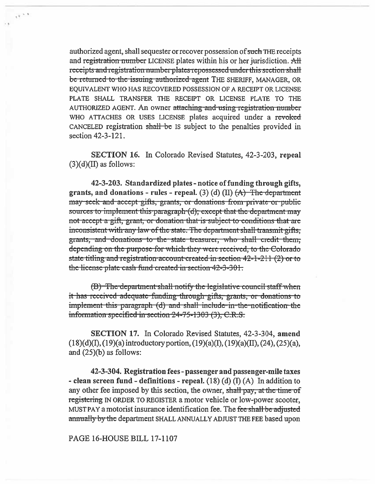authorized agent, shall sequester or recover possession of such THE receipts and registration number LICENSE plates within his or her jurisdiction. All receipts and registration number plates repossessed under this section shall be returned to the issuing authorized agent THE SHERIFF, MANAGER, OR EQUIVALENT WHO HAS RECOVERED POSSESSION OF A RECEIPT OR LICENSE PLATE SHALL TRANSFER THE RECEIPT OR LICENSE PLATE TO THE AUTHORIZED AGENT. An owner attaching and using registration number WHO ATTACHES OR USES LICENSE plates acquired under a revoked CANCELED registration shall be IS subject to the penalties provided in section 42-3-121.

 $e^{\frac{1}{2} \left( \frac{1}{2} \right) \left( \frac{1}{2} \right)}$ 

SECTION 16. In Colorado Revised Statutes, 42-3-203, repeal  $(3)(d)(II)$  as follows:

42-3-203. Standardized plates - notice of funding through gifts, grants, and donations - rules - repeal. (3) (d) (II)  $(A)$  The department may-seek-and-accept-gifts, grants, or donations from-private-or-public sources to implement this paragraph (d); except that the department may not accept a gift, grant, or donation that is subject to conditions that are inconsistent with any law of the state. The department shall transmit gifts. grants, and donations to the state treasurer, who shall credit them, depending on the purpose for which they were received, to the Colorado state titling and registration account created in section  $42-1-211$  (2) or to the license plate cash fund created in section 42-3-301.

(B) The department shall notify the legislative council staff when it has received adequate funding through gifts, grants, or donations to implement this paragraph (d) and shall include in the notification the information specified in section 24-75-1303 (3), C.R.S.

**SECTION 17.** In Colorado Revised Statutes, 42-3-304, amend  $(18)(d)(I), (19)(a)$  introductory portion,  $(19)(a)(I), (19)(a)(II), (24), (25)(a),$ and  $(25)(b)$  as follows:

42-3-304. Registration fees - passenger and passenger-mile taxes - clean screen fund - definitions - repeal.  $(18)$  (d) (I) (A) In addition to any other fee imposed by this section, the owner, shall pay, at the time of registering IN ORDER TO REGISTER a motor vehicle or low-power scooter, MUST PAY a motorist insurance identification fee. The fee shall be adjusted annually by the department SHALL ANNUALLY ADJUST THE FEE based upon

#### PAGE 16-HOUSE BILL 17-1107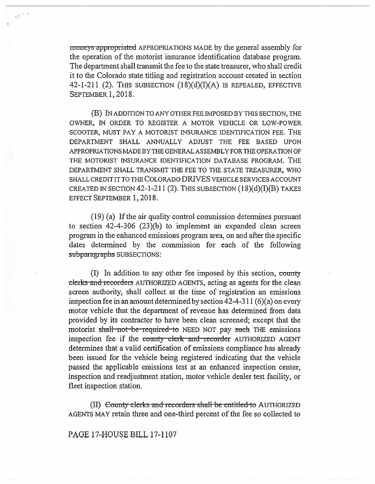moneys appropriated APPROPRIATIONS MADE by the general assembly for the operation of the motorist insurance identification database program. The department shall transmit the fee to the state treasurer, who shall credit it to the Colorado state titling and registration account created in section 42-1-211 (2). THIS SUBSECTION  $(18)(d)(I)(A)$  is repealed, effective SEPTEMBER 1, 2018.

 $\frac{1}{\left\langle \left\langle \cdot \right\rangle \right\langle \cdot \right\rangle }$  ,  $\frac{1}{\left\langle \cdot \right\rangle }$ 

(B) IN ADDITION TO ANY OTHER FEE IMPOSED BY THIS SECTION, THE OWNER, IN ORDER TO REGISTER A MOTOR VEHICLE OR LOW-POWER SCOOTER, MUST PAY A MOTORIST INSURANCE IDENTIFICATION FEE. THE DEPARTMENT SHALL ANNUALLY ADJUST THE FEE BASED UPON APPROPRIATIONS MADE BY THE GENERAL ASSEMBLY FOR THE OPERATION OF THE MOTORIST INSURANCE IDENTIFICATION DATABASE PROGRAM. THE DEPARTMENT SHALL TRANSMIT THE FEE TO THE STATE TREASURER, WHO SHALL CREDIT IT TO THE COLORADO DRIVES VEHICLE SERVICES ACCOUNT CREATED IN SECTION  $42-1-211$  (2). THIS SUBSECTION  $(18)(d)(I)(B)$  TAKES EFFECT SEPTEMBER 1, 2018.

(19) (a) If the air quality control commission determines pursuant to section 42-4-306 (23)(b) to implement an expanded clean screen program in the enhanced emissions program area, on and after the specific dates determined by the commission for each of the following subparagraphs SUBSECTIONS:

 $(I)$  In addition to any other fee imposed by this section, county clerks and recorders AUTHORIZED AGENTS, acting as agents for the clean screen authority, shall collect at the time of registration an emissions inspection fee in an amount determined by section  $42-4-311(6)(a)$  on every motor vehicle that the department of revenue has determined from data provided by its contractor to have been clean screened; except that the motorist shall not be required to NEED NOT pay such THE emissions inspection fee if the county clerk and recorder AUTHORIZED AGENT determines that a valid certification of emissions compliance has already been issued for the vehicle being registered indicating that the vehicle passed the applicable emissions test at an enhanced inspection center, inspection and readjustment station, motor vehicle dealer test facility, or fleet inspection station.

(II) County clerks and recorders shall be entitled to AUTHORIZED AGENTS MAY retain three and one-third percent of the fee so collected to

PAGE 17-HOUSE BILL 17-1107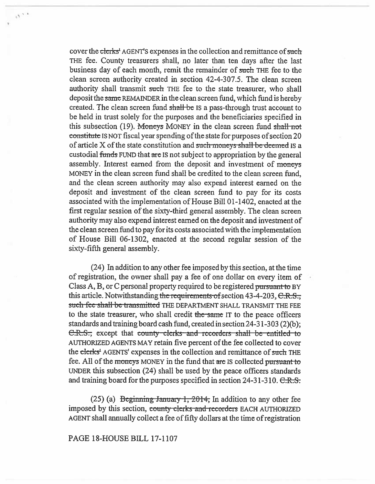cover the clerks' AGENT'S expenses in the collection and remittance of such THE fee. County treasurers shall, no later than ten days after the last business day of each month, remit the remainder of such THE fee to the clean screen authority created in section 42-4-307.5. The clean screen authority shall transmit **such** THE fee to the state treasurer, who shall deposit the same REMAINDER in the clean screen fund, which fund is hereby created. The clean screen fund shall be Is a pass-through trust account to be held in trust solely for the purposes and the beneficiaries specified in this subsection (19). Moneys MONEY in the clean screen fund shall not constitute IS NOT fiscal year spending of the state for purposes of section 20 of article  $X$  of the state constitution and such moneys shall be deemed is a custodial funds FUND that are IS not subject to appropriation by the general assembly. Interest earned from the deposit and investment of moneys MONEY in the clean screen fund shall be credited to the clean screen fund, and the clean screen authority may also expend interest earned on the deposit and investment of the clean screen fund to pay for its costs associated with the implementation of House Bill 01-1402, enacted at the first regular session of the sixty-third general assembly. The clean screen authority may also expend interest earned on the deposit and investment of the clean screen fund to pay for its costs associated with the implementation of House Bill 06-1302, enacted at the second regular session of the sixty-fifth general assembly.

(24) In addition to any other fee imposed by this section, at the time of registration, the owner shall pay a fee of one dollar on every item of Class A, B, or C personal property required to be registered pursuant to BY this article. Notwithstanding the requirements of section 43-4-203,  $C.R.S.,$ such fee shall be transmitted THE DEPARTMENT SHALL TRANSMIT THE FEE to the state treasurer, who shall credit the same IT to the peace officers standards and training board cash fund, created in section 24-31-303 (2)(b); C.R.S.; except that county clerks and recorders shall be entitled to AUTHORIZED AGENTS MAY retain five percent of the fee collected to cover the clerks' AGENTS' expenses in the collection and remittance of **such** THE fee. All of the moneys MONEY in the fund that are IS collected pursuant to UNDER this subsection (24) shall be used by the peace officers standards and training board for the purposes specified in section  $24-31-310$ .  $\text{C-R.S.}$ 

(25) (a) Beginning January 1, 2014, In addition to any other fee imposed by this section, county clerks and recorders EACH AUTHORIZED AGENT shall annually collect a fee of fifty dollars at the time of registration

# PAGE 18-HOUSE BILL 17-1107

 $\phi^{(\chi^{\pm})}$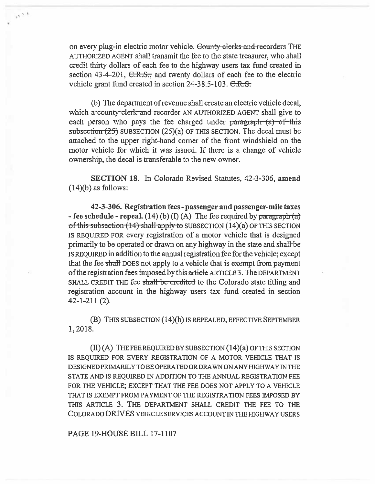on every plug-in electric motor vehicle. County clerks and recorders THE AUTHORIZED AGENT shall transmit the fee to the state treasurer, who shall credit thirty dollars of each fee to the highway users tax fund created in section 43-4-201,  $C.R.S.$  and twenty dollars of each fee to the electric vehicle grant fund created in section  $24-38.5-103$ .  $C.R.S.$ 

 $\frac{1}{2}$ 

(b) The department of revenue shall create an electric vehicle decal, which a county clerk and recorder AN AUTHORIZED AGENT shall give to each person who pays the fee charged under paragraph  $(a)$  of this subsection  $(25)$  SUBSECTION  $(25)(a)$  OF THIS SECTION. The decal must be attached to the upper right-hand corner of the front windshield on the motor vehicle for which it was issued. If there is a change of vehicle ownership, the decal is transferable to the new owner.

SECTION 18. In Colorado Revised Statutes, 42-3-306, amend  $(14)(b)$  as follows:

42-3-306. Registration fees - passenger **and passenger-mile** taxes - fee schedule - repeal. (14) (b) (I) (A) The fee required by paragraph  $(a)$ of this subsection  $(14)$  shall apply to SUBSECTION  $(14)(a)$  OF THIS SECTION IS REQUIRED FOR every registration of a motor vehicle that is designed primarily to be operated or drawn on any highway in the state and shall-be IS REQUIRED in addition to the annual registration fee for the vehicle; except that the fee shall DOES not apply to a vehicle that is exempt from payment of the registration fees imposed by this article ARTICLE 3. The DEPARTMENT SHALL CREDIT THE fee shall-be-credited to the Colorado state titling and registration account in the highway users tax fund created in section 42-1-211 (2).

(B) THIS SUBSECTION (14)(b) IS REPEALED, EFFECTIVE SEPTEMBER 1, 2018.

(II) (A) THE FEE REQUIRED BY SUBSECTION (14)(a) OF THIS SECTION IS REQUIRED FOR EVERY REGISTRATION OF A MOTOR VEHICLE THAT IS DESIGNED PRIMARILY TO BE OPERATED OR DRAWN ON ANY HIGHWAY IN THE STATE AND IS REQUIRED IN ADDITION TO THE ANNUAL REGISTRATION FEE FOR THE VEHICLE; EXCEPT THAT THE FEE DOES NOT APPLY TO A VEHICLE THAT IS EXEMPT FROM PAYMENT OF THE REGISTRATION FEES IMPOSED BY THIS ARTICLE 3. THE DEPARTMENT SHALL CREDIT THE FEE TO THE COLORADO DRIVES VEHICLE SERVICES ACCOUNT IN THE HIGHWAY USERS

PAGE 19-HOUSE BILL 17-1107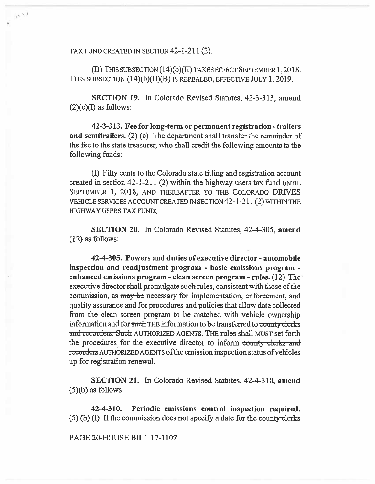TAX FUND CREATED IN SECTION 42-1-211 (2).

 $\alpha \gamma^{-1}$ 

(B) THIS SUBSECTION (14)(b)(11) TAKES EFFECT SEPTEMBER 1, 2018. THIS SUBSECTION (14)(b)(II)(B) IS REPEALED, EFFECTIVE JULY 1, 2019.

**SECTION 19.** In Colorado Revised Statutes, 42-3-313, **amend (2)(c)(I) as follows:** 

**42-3-313. Fee for long-term or permanent registration - trailers and semitrailers.** (2) (c) The department shall transfer the remainder of the fee to the state treasurer, who shall credit the following amounts to the following funds:

(I) Fifty cents to the Colorado state titling and registration account created in section 42-1-211 (2) within the highway users tax fund UNTIL SEPTEMBER 1, 2018, AND THEREAFTER TO THE COLORADO DRIVES VEHICLE SERVICES ACCOUNT CREATED IN SECTION 42-1-211(2) WITHIN THE HIGHWAY USERS TAX FUND;

**SECTION 20. In Colorado Revised** Statutes, 42-4-305, **amend (12) as follows:** 

**42-4-305. Powers and duties of executive director - automobile inspection and readjustment program - basic emissions program**  *enhanced* **emissions program - clean screen program - rules.** (12) The executive director shall promulgate such rules, consistent with those of the commission, as may be necessary for implementation, enforcement, and quality assurance and for procedures and policies that allow data collected from the clean screen program to be matched with vehicle ownership information and for such THE information to be transferred to county clerks and recorders. Such AUTHORIZED AGENTS. THE rules shall MUST set forth the procedures for the executive director to inform county clerks and recorders AUTHORIZED AGENTS of the emission inspection status of vehicles up for registration renewal.

**SECTION 21.** In Colorado Revised Statutes, 42-4-310, **amend (5)(b) as follows:** 

**42-4-310. Periodic emissions control inspection required.**  (5) (b) (I) If the commission does not specify a date for the county clerks

### **PAGE 20-HOUSE BILL 17-1107**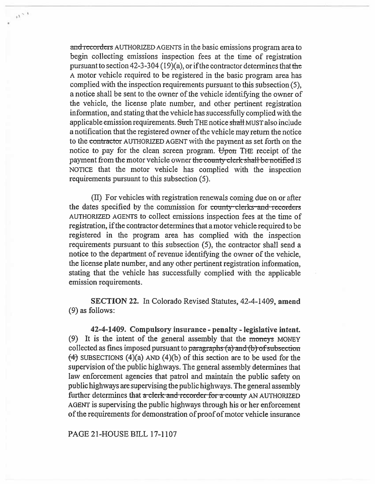and recorders AUTHORIZED AGENTS in the basic emissions program area to begin collecting emissions inspection fees at the time of registration pursuant to section 42-3-304 (19)(a), or if the contractor determines that the A motor vehicle required to be registered in the basic program area has complied with the inspection requirements pursuant to this subsection (5), a notice shall be sent to the owner of the vehicle identifying the owner of the vehicle, the license plate number, and other pertinent registration information, and stating that the vehicle has successfully complied with the applicable emission requirements. Such THE notice shall MUST also include a notification that the registered owner of the vehicle may return the notice to the contractor AUTHORIZED AGENT with the payment as set forth on the notice to pay for the clean screen program. Upon THE receipt of the payment from the motor vehicle owner the county clerk shall be notified IS NOTICE that the motor vehicle has complied with the inspection requirements pursuant to this subsection (5).

 $\frac{1}{2} \Delta \sim 3$ 

(II) For vehicles with registration renewals coming due on or after the dates specified by the commission for county clerks-and-recorders AUTHORIZED AGENTS to collect emissions inspection fees at the time of registration, if the contractor determines that a motor vehicle required to be registered in the program area has complied with the inspection requirements pursuant to this subsection (5), the contractor shall send a notice to the department of revenue identifying the owner of the vehicle, the license plate number, and any other pertinent registration information, stating that the vehicle has successfully complied with the applicable emission requirements.

SECTION 22. In Colorado Revised Statutes, 42-4-1409, amend (9) as follows:

42-4-1409. Compulsory insurance - penalty - legislative intent. (9) It is the intent of the general assembly that the moneys MONEY collected as fines imposed pursuant to paragraphs  $(a)$ -and-(b)-of subsection  $(4)$  SUBSECTIONS  $(4)(a)$  AND  $(4)(b)$  of this section are to be used for the supervision of the public highways. The general assembly determines that law enforcement agencies that patrol and maintain the public safety on public highways are supervising the public highways. The general assembly further determines that  $\alpha$ -clerk and recorder for  $\alpha$ -county AN AUTHORIZED AGENT is supervising the public highways through his or her enforcement of the requirements for demonstration of proof of motor vehicle insurance

PAGE 21-HOUSE BILL 17-1107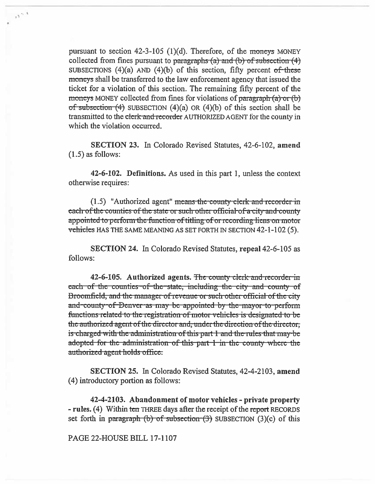pursuant to section  $42-3-105$  (1)(d). Therefore, of the moneys MONEY collected from fines pursuant to paragraphs  $(a)$  and  $(b)$  of subsection  $(4)$ SUBSECTIONS  $(4)(a)$  AND  $(4)(b)$  of this section, fifty percent of these moneys shall be transferred to the law enforcement agency that issued the ticket for a violation of this section. The remaining fifty percent of the moneys MONEY collected from fines for violations of paragraph (a) or (b) of subsection  $(4)$  SUBSECTION  $(4)(a)$  OR  $(4)(b)$  of this section shall be transmitted to the clerk and recorder AUTHORIZED AGENT for the county in which the violation occurred.

 $\alpha$ 

SECTION 23. In Colorado Revised Statutes, 42-6-102, amend  $(1.5)$  as follows:

42-6-102. Definitions. As used in this part 1, unless the context otherwise requires:

(1.5) "Authorized agent" means the county clerk and recorder in each of the counties of the state or such other official of a city and county appointed to perform the function of titling of or recording liens on motor vehicles HAS THE SAME MEANING AS SET FORTH IN SECTION 42-1-102 (5).

**SECTION 24.** In Colorado Revised Statutes, repeal 42-6-105 as follows:

42-6-105. Authorized agents. The county clerk and recorder in each of the counties of the state, including the city and county of Broomfield, and the manager of revenue or such other official of the city and county of Denver as may be appointed by the mayor to perform functions related to the registration of motor vehicles is designated to be the authorized agent of the director and, under the direction of the director, is charged with the administration of this part 1 and the rules that may be adopted for the administration of this part 1 in the county where the authorized agent holds office.

**SECTION 25.** In Colorado Revised Statutes, 42-4-2103, amend (4) introductory portion as follows:

42-4-2103. Abandonment of motor vehicles - private property - rules. (4) Within ten THREE days after the receipt of the report RECORDS set forth in paragraph  $(b)$  of subsection  $(3)$  SUBSECTION  $(3)(c)$  of this

### PAGE 22-HOUSE BILL 17-1107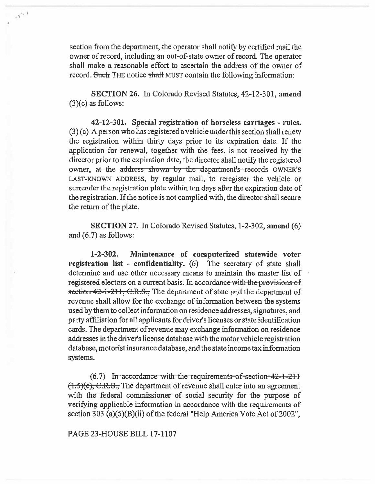section from the department, the operator shall notify by certified mail the owner of record, including an out-of-state owner of record. The operator shall make a reasonable effort to ascertain the address of the owner of record. Such THE notice shall MUST contain the following information:

 $\sigma^{2+3}$ 

**SECTION** 26. In Colorado Revised Statutes, **42-12-301, amend**  (3)(c) **as follows:** 

**42-12-301. Special registration of horseless carriages - rules.**  (3) (c) A person who has registered a vehicle under this section shall renew the registration within thirty days prior to its expiration date. If the application for renewal, together with the fees, is not received by the director prior to the expiration date, the director shall notify the registered owner, at the address shown by the department's records OWNER'S LAST-KNOWN ADDRESS, by regular mail, to reregister the vehicle or surrender the registration plate within ten days after the expiration date of the registration. If the notice is not complied with, the director shall secure the return of the plate.

**SECTION 27. In** Colorado Revised Statutes, 1-2-302, **amend** (6) and (6.7) as follows:

**1-2-302. Maintenance of computerized statewide voter registration list - confidentiality.** (6) The secretary of state shall determine and use other necessary means to maintain the master list of registered electors on a current basis. In accordance with the provisions of **section-42-1-211, C.R.S., The department of state and the department of** revenue shall allow for the exchange of information between the systems used by them to collect information on residence addresses, signatures, and party affiliation for all applicants for driver's licenses or state identification cards. The department of revenue may exchange information on residence addresses in the driver's license database with the motor vehicle registration database, motorist insurance database, and the state income tax information systems.

(6.7) In accordance with the requirements of section 42-1-211 **(1.5)(c), C.R.S., The department of revenue shall enter into an agreement with the federal commissioner of social security for the purpose of verifying applicable information in accordance with the requirements of section 303 (a)(5)(B)(ii) of the federal "Help America Vote Act of 2002",** 

## **PAGE 23-HOUSE BILL 17-1107**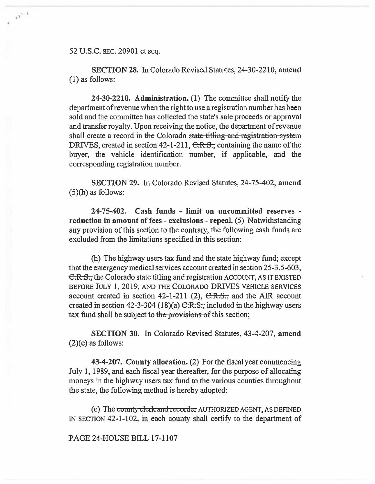52 U.S.C. SEC. 20901 et seq.

 $\omega^{i,k}$ 

SECTION 28. In Colorado Revised Statutes, 24-30-2210, **amend**  (1) as follows:

24-30-2210. Administration. (1) The committee shall notify the department of revenue when the right to use a registration number has been sold and the committee has collected the state's sale proceeds or approval and transfer royalty. Upon receiving the notice, the department of revenue shall create a record in the Colorado state titling and registration system DRIVES, created in section 42-1-211, C.R.S., containing the name of the buyer, the vehicle identification number, if applicable, and the corresponding registration number.

SECTION 29. In Colorado Revised Statutes, 24-75-402, **amend**  (5)(h) as follows:

**24-75-402. Cash funds - limit on uncommitted reserves reduction in amount of fees - exclusions - repeal.** (5) Notwithstanding any provision of this section to the contrary, the following **cash** funds are excluded from the limitations specified in this section:

(h) The highway users tax fund and the state highway fund; except that the emergency medical services account created in section 25-3.5-603, C.R.S., the Colorado state titling and registration ACCOUNT, AS IT EXISTED BEFORE JULY 1, 2019, AND THE COLORADO DRIVES VEHICLE SERVICES account created in section 42-1-211 (2),  $C.R.S.,$  and the AIR account created in section 42-3-304 (18)(a)  $C.R.S.,$  included in the highway users tax fund shall be subject to the provisions of this section;

**SECTION 30.** In Colorado Revised Statutes, 43-4-207, **amend (2)(e)** as follows:

**43-4-207. County allocation.** (2) For the fiscal year commencing July 1, 1989, and each fiscal year thereafter, for the purpose of allocating moneys in the highway users tax fund to the various counties throughout the state, the following method is hereby adopted:

(e) The county clerk and recorder AUTHORIZED AGENT, AS DEFINED IN SECTION 42-1-102, in each county shall certify to the department of

PAGE 24-HOUSE BILL 17-1107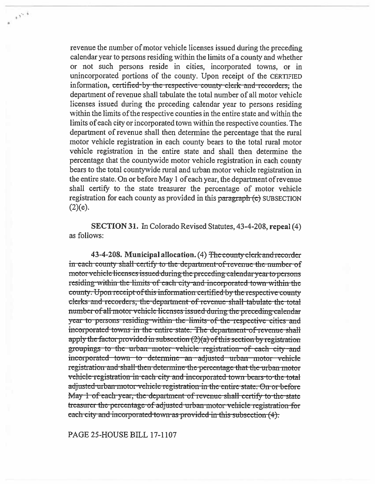revenue the number of motor vehicle licenses issued during the preceding calendar year to persons residing within the limits of a county and whether or not such persons reside in cities, incorporated towns, or in unincorporated portions of the county. Upon receipt of the CERTIFIED information, certified by the respective county clerk and recorders, the department of revenue shall tabulate the total number of all motor vehicle licenses issued during the preceding calendar year to persons residing within the limits of the respective counties in the entire state and within the limits of each city or incorporated town within the respective counties. The department of revenue shall then determine the percentage that the rural motor vehicle registration in each county bears to the total rural motor vehicle registration in the entire state and shall then determine the percentage that the countywide motor vehicle registration in each county bears to the total countywide rural and urban motor vehicle registration in the entire state. On or before May 1 of each year, the department of revenue shall certify to the state treasurer the percentage of motor vehicle registration for each county as provided in this paragraph (e) SUBSECTION  $(2)(e).$ 

SECTION 31. In Colorado Revised Statutes, 43-4-208, repeal (4) as follows:

43-4-208. Municipal allocation. (4) The county clerk and recorder in each county shall certify to the department-of-revenue the number of motor vehicle licenses issued during the preceding calendar year to persons residing within the limits of each city and incorporated town within the county. Upon receipt of this information certified by the respective county clerks and recorders, the department of revenue shall tabulate the total number of all motor vehicle licenses issued during the preceding calendar year to persons residing within the limits of the respective cities and incorporated towns in the entire state. The department of revenue shall apply the factor provided in subsection  $(2)(a)$  of this section by registration groupings to the urban motor vehicle registration of each city and incorporated town to determine an adjusted urban motor vehicle registration and shall then determine the percentage that the urban motor vehicle registration in each city and incorporated town bears to the total adjusted urban motor vehicle registration in the entire state. On or before May 1 of each year, the department of revenue shall certify to the state treasurer the percentage of adjusted urban motor vehicle registration for each city and incorporated town as provided in this subsection (4).

PAGE 25-HOUSE BILL 17-1107

 $\mathcal{N}^{\mathcal{A}}$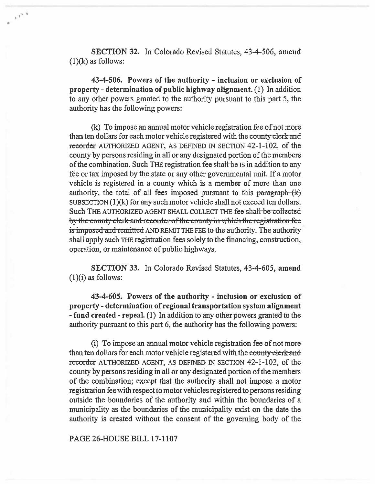SECTION 32. In Colorado Revised Statutes, 43-4-506, amend  $(1)(k)$  as follows:

 $v^{\gamma^{n-\frac{1}{2}}}$ 

43-4-506. Powers of the authority - inclusion or exclusion of property - determination of public highway alignment. (1) In addition to any other powers granted to the authority pursuant to this part 5, the authority has the following powers:

(k) To impose an annual motor vehicle registration fee of not more than ten dollars for each motor vehicle registered with the county clerk and recorder AUTHORIZED AGENT, AS DEFINED IN SECTION 42-1-102, of the county by persons residing in all or any designated portion of the members of the combination. Such THE registration fee shall be IS in addition to any fee or tax imposed by the state or any other governmental unit. If a motor vehicle is registered in a county which is a member of more than one authority, the total of all fees imposed pursuant to this  $\frac{\partial}{\partial x}$   $\frac{\partial}{\partial x}$ SUBSECTION (1)(k) for any such motor vehicle shall not exceed ten dollars. Such THE AUTHORIZED AGENT SHALL COLLECT THE fee shall be collected by the county clerk and recorder of the county in which the registration fee is imposed and remitted AND REMIT THE FEE to the authority. The authority shall apply such THE registration fees solely to the financing, construction, operation, or maintenance of public highways.

SECTION 33. In Colorado Revised Statutes, 43-4-605, **amend**   $(1)(i)$  as follows:

43-4-605. Powers of the authority - inclusion **or exclusion of property - determination of regional transportation system alignment - fund created - repeal.** (1) In addition to any other powers granted to the authority pursuant to this part 6, the authority has the following powers:

(i) To impose an annual motor vehicle registration fee of not more than ten dollars for each motor vehicle registered with the county-clerk and recorder AUTHORIZED AGENT, AS DEFINED IN SECTION 42-1-102, of the county by persons residing in all or any designated portion of the members of the combination; except that the authority shall not impose a motor registration fee with respect to motor vehicles registered to persons residing outside the boundaries of the authority and within the boundaries of a municipality as the boundaries of the municipality exist on the date the authority is created without the consent of the governing body of the

PAGE 26-HOUSE **BILL 17-1107**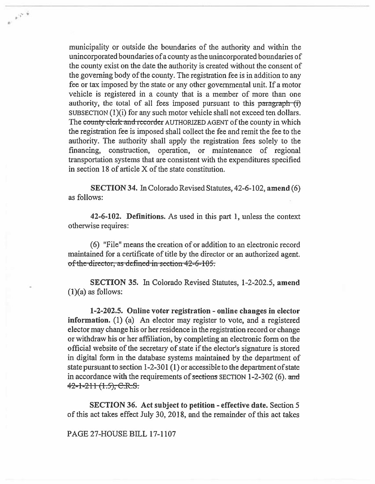municipality or outside the boundaries of the authority and within the unincorporated boundaries of a county as the unincorporated boundaries of the county exist on the date the authority is created without the consent of the governing body of the county. The registration fee is in addition to any fee or tax imposed by the state or any other governmental unit. If a motor vehicle is registered in a county that is a member of more than one authority, the total of all fees imposed pursuant to this paragraph (i) SUBSECTION (1)(i) for any such motor vehicle shall not exceed ten dollars. The county clerk and recorder AUTHORIZED AGENT of the county in which the registration fee is imposed shall collect the fee and remit the fee to the authority. The authority shall apply the registration fees solely to the financing, construction, operation, or maintenance of regional transportation systems that are consistent with the expenditures specified in section 18 of article X of the state constitution.

 $e^{i\frac{\pi}{2} \mathbf{v}^2 \frac{\vec{\psi}}{\mathbf{v}} }$ 

SECTION 34. In Colorado Revised Statutes, 42-6-102, amend (6) as follows:

42-6-102. Definitions. As used in this part 1, unless the context otherwise requires:

(6) "File" means the creation of or addition to an electronic record maintained for a certificate of title by the director or an authorized agent. of the director, as defined in section 42-6-105.

SECTION 35. In Colorado Revised Statutes, 1-2-202.5, amend  $(1)(a)$  as follows:

1-2-202.5. Online voter registration - online changes in elector information. (1) (a) An elector may register to vote, and a registered elector may change his or her residence in the registration record or change or withdraw his or her affiliation, by completing an electronic form on the official website of the secretary of state if the elector's signature is stored in digital form in the database systems maintained by the department of state pursuant to section 1-2-301 (1) or accessible to the department of state in accordance with the requirements of sections SECTION 1-2-302 (6). and  $42 - 1 - 211$   $(1.5)$ , C.R.S.

SECTION 36. Act subject to petition - effective date. Section 5 of this act takes effect July 30, 2018, and the remainder of this act takes

PAGE 27-HOUSE BILL 17-1107